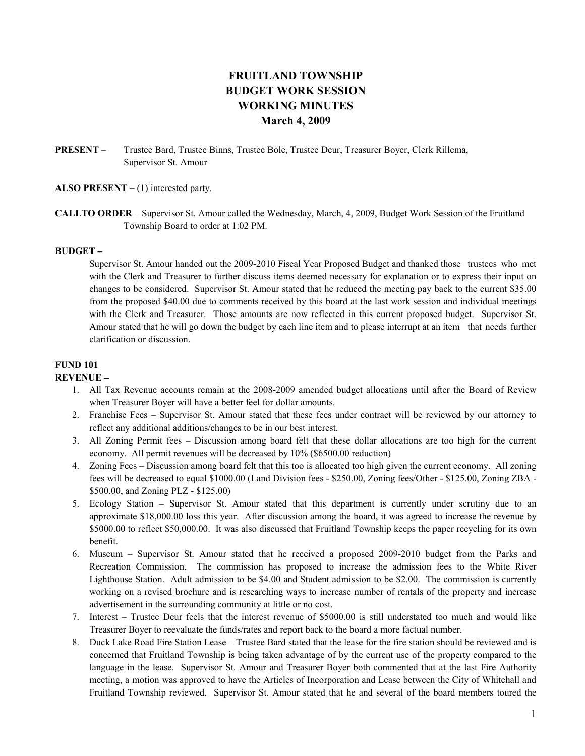# FRUITLAND TOWNSHIP BUDGET WORK SESSION WORKING MINUTES March 4, 2009

PRESENT – Trustee Bard, Trustee Binns, Trustee Bole, Trustee Deur, Treasurer Boyer, Clerk Rillema, Supervisor St. Amour

ALSO PRESENT  $- (1)$  interested party.

CALLTO ORDER – Supervisor St. Amour called the Wednesday, March, 4, 2009, Budget Work Session of the Fruitland Township Board to order at 1:02 PM.

#### BUDGET –

Supervisor St. Amour handed out the 2009-2010 Fiscal Year Proposed Budget and thanked those trustees who met with the Clerk and Treasurer to further discuss items deemed necessary for explanation or to express their input on changes to be considered. Supervisor St. Amour stated that he reduced the meeting pay back to the current \$35.00 from the proposed \$40.00 due to comments received by this board at the last work session and individual meetings with the Clerk and Treasurer. Those amounts are now reflected in this current proposed budget. Supervisor St. Amour stated that he will go down the budget by each line item and to please interrupt at an item that needs further clarification or discussion.

## FUND 101

#### REVENUE –

- 1. All Tax Revenue accounts remain at the 2008-2009 amended budget allocations until after the Board of Review when Treasurer Boyer will have a better feel for dollar amounts.
- 2. Franchise Fees Supervisor St. Amour stated that these fees under contract will be reviewed by our attorney to reflect any additional additions/changes to be in our best interest.
- 3. All Zoning Permit fees Discussion among board felt that these dollar allocations are too high for the current economy. All permit revenues will be decreased by 10% (\$6500.00 reduction)
- 4. Zoning Fees Discussion among board felt that this too is allocated too high given the current economy. All zoning fees will be decreased to equal \$1000.00 (Land Division fees - \$250.00, Zoning fees/Other - \$125.00, Zoning ZBA - \$500.00, and Zoning PLZ - \$125.00)
- 5. Ecology Station Supervisor St. Amour stated that this department is currently under scrutiny due to an approximate \$18,000.00 loss this year. After discussion among the board, it was agreed to increase the revenue by \$5000.00 to reflect \$50,000.00. It was also discussed that Fruitland Township keeps the paper recycling for its own benefit.
- 6. Museum Supervisor St. Amour stated that he received a proposed 2009-2010 budget from the Parks and Recreation Commission. The commission has proposed to increase the admission fees to the White River Lighthouse Station. Adult admission to be \$4.00 and Student admission to be \$2.00. The commission is currently working on a revised brochure and is researching ways to increase number of rentals of the property and increase advertisement in the surrounding community at little or no cost.
- 7. Interest Trustee Deur feels that the interest revenue of \$5000.00 is still understated too much and would like Treasurer Boyer to reevaluate the funds/rates and report back to the board a more factual number.
- 8. Duck Lake Road Fire Station Lease Trustee Bard stated that the lease for the fire station should be reviewed and is concerned that Fruitland Township is being taken advantage of by the current use of the property compared to the language in the lease. Supervisor St. Amour and Treasurer Boyer both commented that at the last Fire Authority meeting, a motion was approved to have the Articles of Incorporation and Lease between the City of Whitehall and Fruitland Township reviewed. Supervisor St. Amour stated that he and several of the board members toured the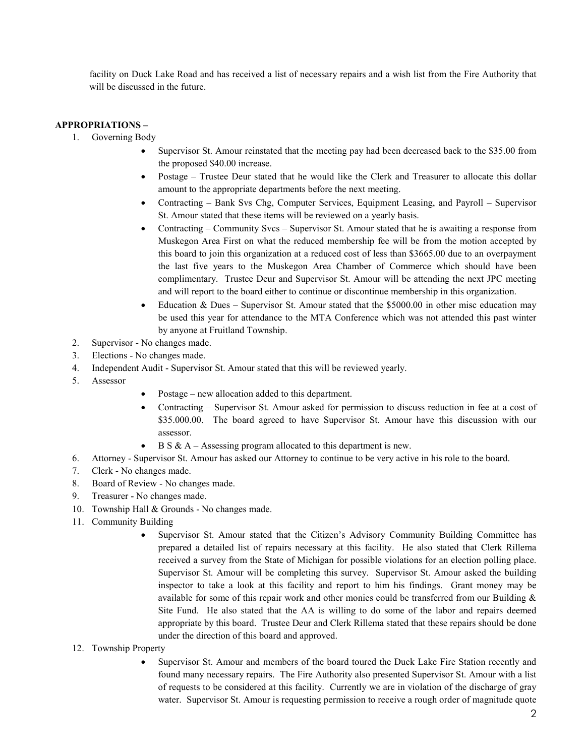facility on Duck Lake Road and has received a list of necessary repairs and a wish list from the Fire Authority that will be discussed in the future.

### APPROPRIATIONS –

- 1. Governing Body
	- Supervisor St. Amour reinstated that the meeting pay had been decreased back to the \$35.00 from the proposed \$40.00 increase.
	- Postage Trustee Deur stated that he would like the Clerk and Treasurer to allocate this dollar amount to the appropriate departments before the next meeting.
	- Contracting Bank Svs Chg, Computer Services, Equipment Leasing, and Payroll Supervisor St. Amour stated that these items will be reviewed on a yearly basis.
	- Contracting Community Svcs Supervisor St. Amour stated that he is awaiting a response from Muskegon Area First on what the reduced membership fee will be from the motion accepted by this board to join this organization at a reduced cost of less than \$3665.00 due to an overpayment the last five years to the Muskegon Area Chamber of Commerce which should have been complimentary. Trustee Deur and Supervisor St. Amour will be attending the next JPC meeting and will report to the board either to continue or discontinue membership in this organization.
	- Education & Dues Supervisor St. Amour stated that the \$5000.00 in other misc education may be used this year for attendance to the MTA Conference which was not attended this past winter by anyone at Fruitland Township.
- 2. Supervisor No changes made.
- 3. Elections No changes made.
- 4. Independent Audit Supervisor St. Amour stated that this will be reviewed yearly.
- 5. Assessor
- Postage new allocation added to this department.
- Contracting Supervisor St. Amour asked for permission to discuss reduction in fee at a cost of \$35.000.00. The board agreed to have Supervisor St. Amour have this discussion with our assessor.
- $B S & A \text{Assessing program allocated to this department is new.}$
- 6. Attorney Supervisor St. Amour has asked our Attorney to continue to be very active in his role to the board.
- 7. Clerk No changes made.
- 8. Board of Review No changes made.
- 9. Treasurer No changes made.
- 10. Township Hall & Grounds No changes made.
- 11. Community Building
	- Supervisor St. Amour stated that the Citizen's Advisory Community Building Committee has prepared a detailed list of repairs necessary at this facility. He also stated that Clerk Rillema received a survey from the State of Michigan for possible violations for an election polling place. Supervisor St. Amour will be completing this survey. Supervisor St. Amour asked the building inspector to take a look at this facility and report to him his findings. Grant money may be available for some of this repair work and other monies could be transferred from our Building  $\&$ Site Fund. He also stated that the AA is willing to do some of the labor and repairs deemed appropriate by this board. Trustee Deur and Clerk Rillema stated that these repairs should be done under the direction of this board and approved.
- 12. Township Property
	- Supervisor St. Amour and members of the board toured the Duck Lake Fire Station recently and found many necessary repairs. The Fire Authority also presented Supervisor St. Amour with a list of requests to be considered at this facility. Currently we are in violation of the discharge of gray water. Supervisor St. Amour is requesting permission to receive a rough order of magnitude quote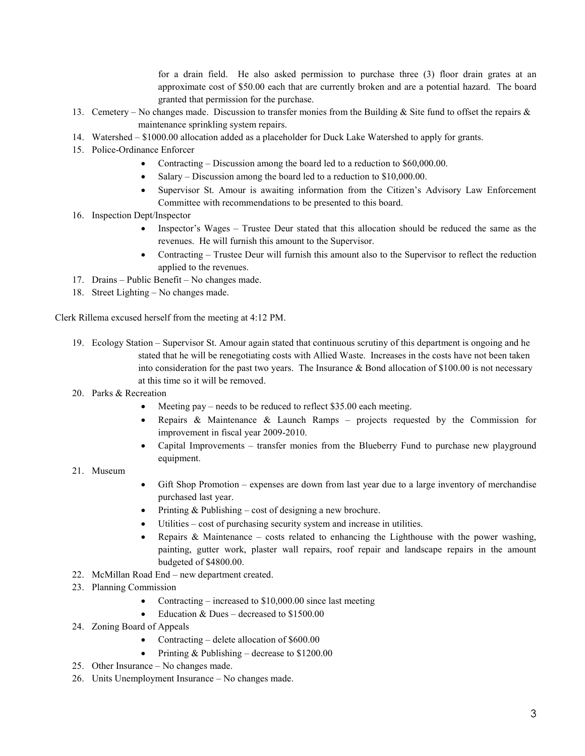for a drain field. He also asked permission to purchase three (3) floor drain grates at an approximate cost of \$50.00 each that are currently broken and are a potential hazard. The board granted that permission for the purchase.

- 13. Cemetery No changes made. Discussion to transfer monies from the Building & Site fund to offset the repairs & maintenance sprinkling system repairs.
- 14. Watershed \$1000.00 allocation added as a placeholder for Duck Lake Watershed to apply for grants.
- 15. Police-Ordinance Enforcer
	- Contracting Discussion among the board led to a reduction to \$60,000.00.
	- Salary Discussion among the board led to a reduction to \$10,000.00.
	- Supervisor St. Amour is awaiting information from the Citizen's Advisory Law Enforcement Committee with recommendations to be presented to this board.
- 16. Inspection Dept/Inspector
	- Inspector's Wages Trustee Deur stated that this allocation should be reduced the same as the revenues. He will furnish this amount to the Supervisor.
	- Contracting Trustee Deur will furnish this amount also to the Supervisor to reflect the reduction applied to the revenues.
- 17. Drains Public Benefit No changes made.
- 18. Street Lighting No changes made.

Clerk Rillema excused herself from the meeting at 4:12 PM.

- 19. Ecology Station Supervisor St. Amour again stated that continuous scrutiny of this department is ongoing and he stated that he will be renegotiating costs with Allied Waste. Increases in the costs have not been taken into consideration for the past two years. The Insurance  $\&$  Bond allocation of \$100.00 is not necessary at this time so it will be removed.
- 20. Parks & Recreation
	- Meeting pay needs to be reduced to reflect \$35.00 each meeting.
	- Repairs & Maintenance & Launch Ramps projects requested by the Commission for improvement in fiscal year 2009-2010.
	- Capital Improvements transfer monies from the Blueberry Fund to purchase new playground equipment.
- 21. Museum
- Gift Shop Promotion expenses are down from last year due to a large inventory of merchandise purchased last year.
- Printing  $&$  Publishing cost of designing a new brochure.
- Utilities cost of purchasing security system and increase in utilities.
- Repairs & Maintenance costs related to enhancing the Lighthouse with the power washing, painting, gutter work, plaster wall repairs, roof repair and landscape repairs in the amount budgeted of \$4800.00.
- 22. McMillan Road End new department created.
- 23. Planning Commission
	- Contracting increased to \$10,000.00 since last meeting
	- Education & Dues decreased to  $$1500.00$
- 24. Zoning Board of Appeals
	- Contracting delete allocation of \$600.00
	- Printing  $&$  Publishing decrease to \$1200.00
- 25. Other Insurance No changes made.
- 26. Units Unemployment Insurance No changes made.